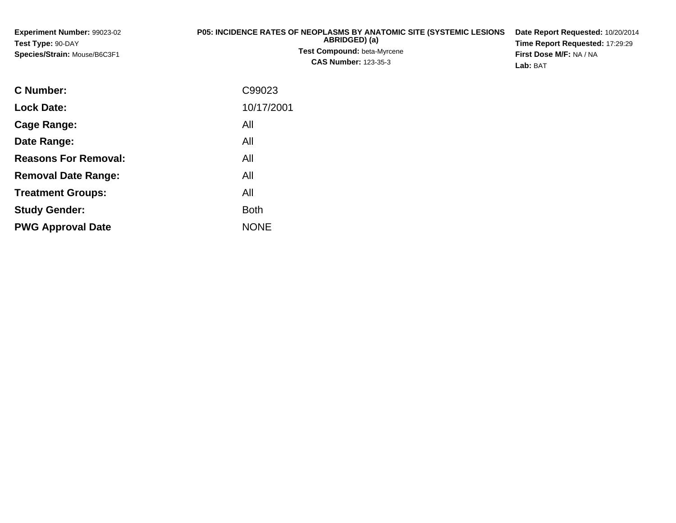| <b>Experiment Number: 99023-02</b>  | <b>P05: INCIDENCE RATES OF NEOPLASMS BY ANATOMIC SITE (SYSTEMIC LESIONS)</b> | Date Report Requested: 10/20/2014      |
|-------------------------------------|------------------------------------------------------------------------------|----------------------------------------|
| Test Type: 90-DAY                   | ABRIDGED) (a)                                                                | <b>Time Report Requested: 17:29:29</b> |
| <b>Species/Strain: Mouse/B6C3F1</b> | <b>Test Compound: beta-Myrcene</b>                                           | First Dose M/F: NA / NA                |
|                                     | <b>CAS Number: 123-35-3</b>                                                  | Lab: BAT                               |

| <b>C</b> Number:            | C99023      |
|-----------------------------|-------------|
| <b>Lock Date:</b>           | 10/17/2001  |
| Cage Range:                 | All         |
| Date Range:                 | All         |
| <b>Reasons For Removal:</b> | All         |
| <b>Removal Date Range:</b>  | All         |
| <b>Treatment Groups:</b>    | All         |
| <b>Study Gender:</b>        | <b>Both</b> |
| <b>PWG Approval Date</b>    | <b>NONE</b> |
|                             |             |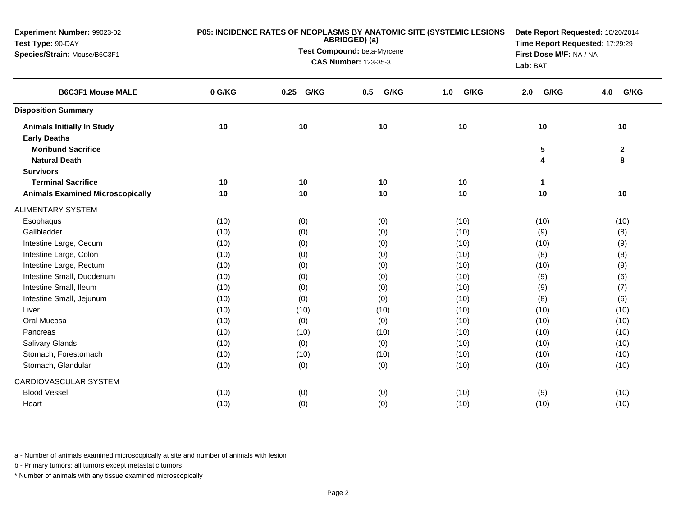| Experiment Number: 99023-02<br>Test Type: 90-DAY | P05: INCIDENCE RATES OF NEOPLASMS BY ANATOMIC SITE (SYSTEMIC LESIONS | Date Report Requested: 10/20/2014<br>Time Report Requested: 17:29:29 |                                     |             |             |              |
|--------------------------------------------------|----------------------------------------------------------------------|----------------------------------------------------------------------|-------------------------------------|-------------|-------------|--------------|
| Species/Strain: Mouse/B6C3F1                     |                                                                      | ABRIDGED) (a)<br>Test Compound: beta-Myrcene                         |                                     |             |             |              |
|                                                  |                                                                      | <b>CAS Number: 123-35-3</b>                                          | First Dose M/F: NA / NA<br>Lab: BAT |             |             |              |
| <b>B6C3F1 Mouse MALE</b>                         | 0 G/KG                                                               | G/KG<br>0.25                                                         | G/KG<br>0.5                         | G/KG<br>1.0 | G/KG<br>2.0 | G/KG<br>4.0  |
| <b>Disposition Summary</b>                       |                                                                      |                                                                      |                                     |             |             |              |
| <b>Animals Initially In Study</b>                | 10                                                                   | 10                                                                   | 10                                  | 10          | 10          | 10           |
| <b>Early Deaths</b>                              |                                                                      |                                                                      |                                     |             |             |              |
| <b>Moribund Sacrifice</b>                        |                                                                      |                                                                      |                                     |             | 5           | $\mathbf{2}$ |
| <b>Natural Death</b>                             |                                                                      |                                                                      |                                     |             | 4           | 8            |
| <b>Survivors</b>                                 |                                                                      |                                                                      |                                     |             |             |              |
| <b>Terminal Sacrifice</b>                        | 10                                                                   | 10                                                                   | 10                                  | 10          | 1           |              |
| <b>Animals Examined Microscopically</b>          | 10                                                                   | 10                                                                   | 10                                  | 10          | 10          | 10           |
| <b>ALIMENTARY SYSTEM</b>                         |                                                                      |                                                                      |                                     |             |             |              |
| Esophagus                                        | (10)                                                                 | (0)                                                                  | (0)                                 | (10)        | (10)        | (10)         |
| Gallbladder                                      | (10)                                                                 | (0)                                                                  | (0)                                 | (10)        | (9)         | (8)          |
| Intestine Large, Cecum                           | (10)                                                                 | (0)                                                                  | (0)                                 | (10)        | (10)        | (9)          |
| Intestine Large, Colon                           | (10)                                                                 | (0)                                                                  | (0)                                 | (10)        | (8)         | (8)          |
| Intestine Large, Rectum                          | (10)                                                                 | (0)                                                                  | (0)                                 | (10)        | (10)        | (9)          |
| Intestine Small, Duodenum                        | (10)                                                                 | (0)                                                                  | (0)                                 | (10)        | (9)         | (6)          |
| Intestine Small, Ileum                           | (10)                                                                 | (0)                                                                  | (0)                                 | (10)        | (9)         | (7)          |
| Intestine Small, Jejunum                         | (10)                                                                 | (0)                                                                  | (0)                                 | (10)        | (8)         | (6)          |
| Liver                                            | (10)                                                                 | (10)                                                                 | (10)                                | (10)        | (10)        | (10)         |
| Oral Mucosa                                      | (10)                                                                 | (0)                                                                  | (0)                                 | (10)        | (10)        | (10)         |
| Pancreas                                         | (10)                                                                 | (10)                                                                 | (10)                                | (10)        | (10)        | (10)         |
| Salivary Glands                                  | (10)                                                                 | (0)                                                                  | (0)                                 | (10)        | (10)        | (10)         |
| Stomach, Forestomach                             | (10)                                                                 | (10)                                                                 | (10)                                | (10)        | (10)        | (10)         |
| Stomach, Glandular                               | (10)                                                                 | (0)                                                                  | (0)                                 | (10)        | (10)        | (10)         |
| CARDIOVASCULAR SYSTEM                            |                                                                      |                                                                      |                                     |             |             |              |
| <b>Blood Vessel</b>                              | (10)                                                                 | (0)                                                                  | (0)                                 | (10)        | (9)         | (10)         |
| Heart                                            | (10)                                                                 | (0)                                                                  | (0)                                 | (10)        | (10)        | (10)         |

b - Primary tumors: all tumors except metastatic tumors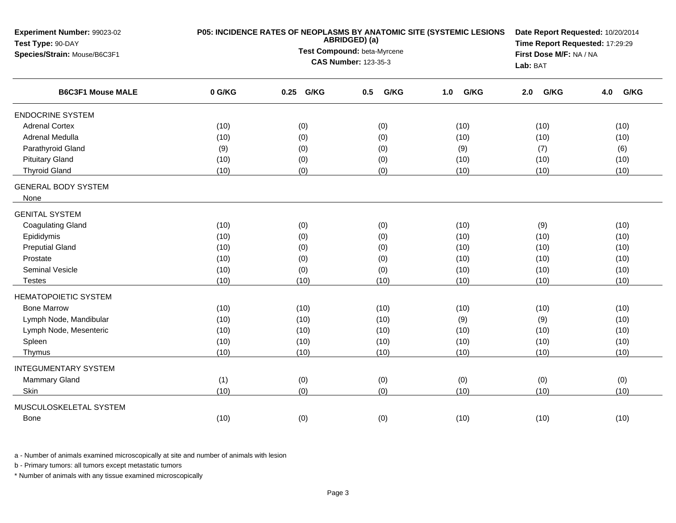| Experiment Number: 99023-02<br>Test Type: 90-DAY<br>Species/Strain: Mouse/B6C3F1 | P05: INCIDENCE RATES OF NEOPLASMS BY ANATOMIC SITE (SYSTEMIC LESIONS | Date Report Requested: 10/20/2014<br>Time Report Requested: 17:29:29<br>First Dose M/F: NA / NA |                             |             |             |             |
|----------------------------------------------------------------------------------|----------------------------------------------------------------------|-------------------------------------------------------------------------------------------------|-----------------------------|-------------|-------------|-------------|
|                                                                                  |                                                                      |                                                                                                 | <b>CAS Number: 123-35-3</b> |             | Lab: BAT    |             |
| <b>B6C3F1 Mouse MALE</b>                                                         | 0 G/KG                                                               | 0.25<br>G/KG                                                                                    | G/KG<br>0.5                 | G/KG<br>1.0 | G/KG<br>2.0 | G/KG<br>4.0 |
| <b>ENDOCRINE SYSTEM</b>                                                          |                                                                      |                                                                                                 |                             |             |             |             |
| <b>Adrenal Cortex</b>                                                            | (10)                                                                 | (0)                                                                                             | (0)                         | (10)        | (10)        | (10)        |
| Adrenal Medulla                                                                  | (10)                                                                 | (0)                                                                                             | (0)                         | (10)        | (10)        | (10)        |
| Parathyroid Gland                                                                | (9)                                                                  | (0)                                                                                             | (0)                         | (9)         | (7)         | (6)         |
| <b>Pituitary Gland</b>                                                           | (10)                                                                 | (0)                                                                                             | (0)                         | (10)        | (10)        | (10)        |
| <b>Thyroid Gland</b>                                                             | (10)                                                                 | (0)                                                                                             | (0)                         | (10)        | (10)        | (10)        |
| <b>GENERAL BODY SYSTEM</b><br>None                                               |                                                                      |                                                                                                 |                             |             |             |             |
| <b>GENITAL SYSTEM</b>                                                            |                                                                      |                                                                                                 |                             |             |             |             |
| <b>Coagulating Gland</b>                                                         | (10)                                                                 | (0)                                                                                             | (0)                         | (10)        | (9)         | (10)        |
| Epididymis                                                                       | (10)                                                                 | (0)                                                                                             | (0)                         | (10)        | (10)        | (10)        |
| <b>Preputial Gland</b>                                                           | (10)                                                                 | (0)                                                                                             | (0)                         | (10)        | (10)        | (10)        |
| Prostate                                                                         | (10)                                                                 | (0)                                                                                             | (0)                         | (10)        | (10)        | (10)        |
| <b>Seminal Vesicle</b>                                                           | (10)                                                                 | (0)                                                                                             | (0)                         | (10)        | (10)        | (10)        |
| <b>Testes</b>                                                                    | (10)                                                                 | (10)                                                                                            | (10)                        | (10)        | (10)        | (10)        |
| <b>HEMATOPOIETIC SYSTEM</b>                                                      |                                                                      |                                                                                                 |                             |             |             |             |
| <b>Bone Marrow</b>                                                               | (10)                                                                 | (10)                                                                                            | (10)                        | (10)        | (10)        | (10)        |
| Lymph Node, Mandibular                                                           | (10)                                                                 | (10)                                                                                            | (10)                        | (9)         | (9)         | (10)        |
| Lymph Node, Mesenteric                                                           | (10)                                                                 | (10)                                                                                            | (10)                        | (10)        | (10)        | (10)        |
| Spleen                                                                           | (10)                                                                 | (10)                                                                                            | (10)                        | (10)        | (10)        | (10)        |
| Thymus                                                                           | (10)                                                                 | (10)                                                                                            | (10)                        | (10)        | (10)        | (10)        |
| <b>INTEGUMENTARY SYSTEM</b>                                                      |                                                                      |                                                                                                 |                             |             |             |             |
| <b>Mammary Gland</b>                                                             | (1)                                                                  | (0)                                                                                             | (0)                         | (0)         | (0)         | (0)         |
| Skin                                                                             | (10)                                                                 | (0)                                                                                             | (0)                         | (10)        | (10)        | (10)        |
| MUSCULOSKELETAL SYSTEM                                                           |                                                                      |                                                                                                 |                             |             |             |             |
| <b>Bone</b>                                                                      | (10)                                                                 | (0)                                                                                             | (0)                         | (10)        | (10)        | (10)        |

b - Primary tumors: all tumors except metastatic tumors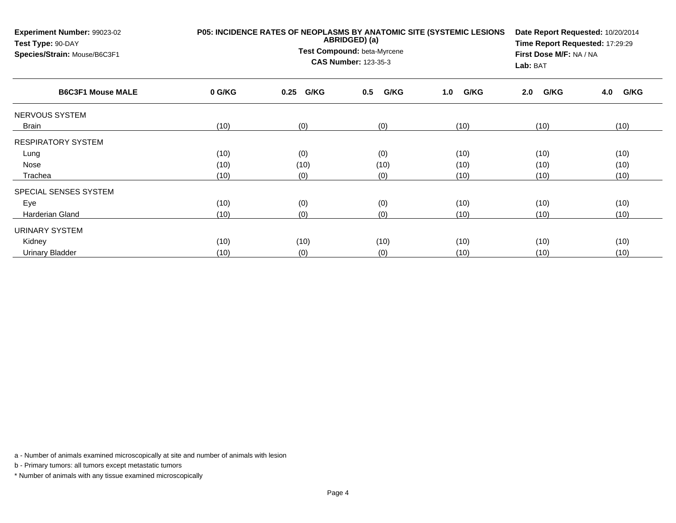| Experiment Number: 99023-02<br>Test Type: 90-DAY<br>Species/Strain: Mouse/B6C3F1 | P05: INCIDENCE RATES OF NEOPLASMS BY ANATOMIC SITE (SYSTEMIC LESIONS | Date Report Requested: 10/20/2014<br>Time Report Requested: 17:29:29<br>First Dose M/F: NA / NA<br>Lab: BAT |             |             |             |             |
|----------------------------------------------------------------------------------|----------------------------------------------------------------------|-------------------------------------------------------------------------------------------------------------|-------------|-------------|-------------|-------------|
| <b>B6C3F1 Mouse MALE</b>                                                         | 0 G/KG                                                               | G/KG<br>0.25                                                                                                | G/KG<br>0.5 | G/KG<br>1.0 | G/KG<br>2.0 | G/KG<br>4.0 |
| NERVOUS SYSTEM                                                                   |                                                                      |                                                                                                             |             |             |             |             |
| Brain                                                                            | (10)                                                                 | (0)                                                                                                         | (0)         | (10)        | (10)        | (10)        |
| <b>RESPIRATORY SYSTEM</b>                                                        |                                                                      |                                                                                                             |             |             |             |             |
| Lung                                                                             | (10)                                                                 | (0)                                                                                                         | (0)         | (10)        | (10)        | (10)        |
| Nose                                                                             | (10)                                                                 | (10)                                                                                                        | (10)        | (10)        | (10)        | (10)        |
| Trachea                                                                          | (10)                                                                 | (0)                                                                                                         | (0)         | (10)        | (10)        | (10)        |
| SPECIAL SENSES SYSTEM                                                            |                                                                      |                                                                                                             |             |             |             |             |
| Eye                                                                              | (10)                                                                 | (0)                                                                                                         | (0)         | (10)        | (10)        | (10)        |
| Harderian Gland                                                                  | (10)                                                                 | (0)                                                                                                         | (0)         | (10)        | (10)        | (10)        |
| URINARY SYSTEM                                                                   |                                                                      |                                                                                                             |             |             |             |             |
| Kidney                                                                           | (10)                                                                 | (10)                                                                                                        | (10)        | (10)        | (10)        | (10)        |
| Urinary Bladder                                                                  | (10)                                                                 | (0)                                                                                                         | (0)         | (10)        | (10)        | (10)        |

b - Primary tumors: all tumors except metastatic tumors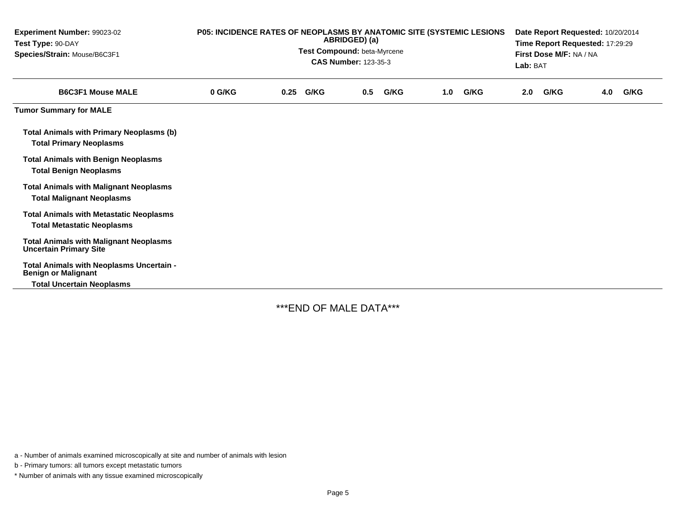| Experiment Number: 99023-02<br>Test Type: 90-DAY<br>Species/Strain: Mouse/B6C3F1    | P05: INCIDENCE RATES OF NEOPLASMS BY ANATOMIC SITE (SYSTEMIC LESIONS<br>ABRIDGED) (a)<br>Test Compound: beta-Myrcene<br><b>CAS Number: 123-35-3</b> |  |           |     |      |     |      |     | Date Report Requested: 10/20/2014<br>Time Report Requested: 17:29:29<br>First Dose M/F: NA / NA<br>Lab: BAT |     |      |  |
|-------------------------------------------------------------------------------------|-----------------------------------------------------------------------------------------------------------------------------------------------------|--|-----------|-----|------|-----|------|-----|-------------------------------------------------------------------------------------------------------------|-----|------|--|
| <b>B6C3F1 Mouse MALE</b>                                                            | 0 G/KG                                                                                                                                              |  | 0.25 G/KG | 0.5 | G/KG | 1.0 | G/KG | 2.0 | G/KG                                                                                                        | 4.0 | G/KG |  |
| <b>Tumor Summary for MALE</b>                                                       |                                                                                                                                                     |  |           |     |      |     |      |     |                                                                                                             |     |      |  |
| <b>Total Animals with Primary Neoplasms (b)</b><br><b>Total Primary Neoplasms</b>   |                                                                                                                                                     |  |           |     |      |     |      |     |                                                                                                             |     |      |  |
| <b>Total Animals with Benign Neoplasms</b><br><b>Total Benign Neoplasms</b>         |                                                                                                                                                     |  |           |     |      |     |      |     |                                                                                                             |     |      |  |
| <b>Total Animals with Malignant Neoplasms</b><br><b>Total Malignant Neoplasms</b>   |                                                                                                                                                     |  |           |     |      |     |      |     |                                                                                                             |     |      |  |
| <b>Total Animals with Metastatic Neoplasms</b><br><b>Total Metastatic Neoplasms</b> |                                                                                                                                                     |  |           |     |      |     |      |     |                                                                                                             |     |      |  |
| <b>Total Animals with Malignant Neoplasms</b><br><b>Uncertain Primary Site</b>      |                                                                                                                                                     |  |           |     |      |     |      |     |                                                                                                             |     |      |  |
| Total Animals with Neoplasms Uncertain -<br><b>Benign or Malignant</b>              |                                                                                                                                                     |  |           |     |      |     |      |     |                                                                                                             |     |      |  |
| <b>Total Uncertain Neoplasms</b>                                                    |                                                                                                                                                     |  |           |     |      |     |      |     |                                                                                                             |     |      |  |

\*\*\*END OF MALE DATA\*\*\*

a - Number of animals examined microscopically at site and number of animals with lesion

b - Primary tumors: all tumors except metastatic tumors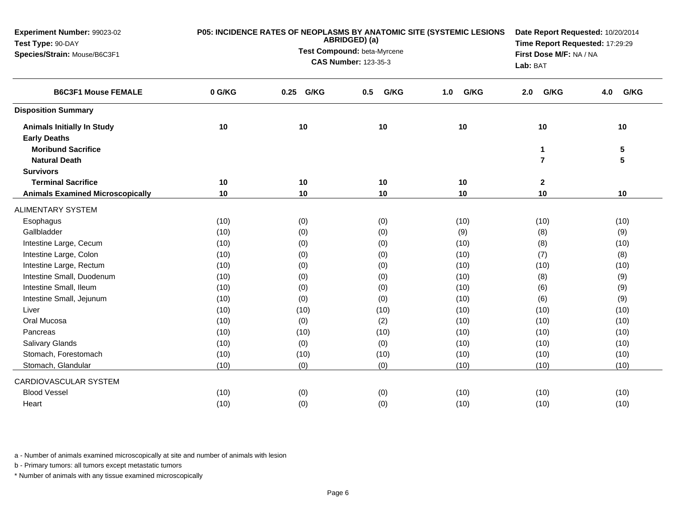| Experiment Number: 99023-02<br>Test Type: 90-DAY | P05: INCIDENCE RATES OF NEOPLASMS BY ANATOMIC SITE (SYSTEMIC LESIONS | Date Report Requested: 10/20/2014<br>Time Report Requested: 17:29:29 |                         |             |                         |             |
|--------------------------------------------------|----------------------------------------------------------------------|----------------------------------------------------------------------|-------------------------|-------------|-------------------------|-------------|
| Species/Strain: Mouse/B6C3F1                     |                                                                      | Test Compound: beta-Myrcene                                          | First Dose M/F: NA / NA |             |                         |             |
|                                                  |                                                                      | <b>CAS Number: 123-35-3</b>                                          | Lab: BAT                |             |                         |             |
| <b>B6C3F1 Mouse FEMALE</b>                       | 0 G/KG                                                               | G/KG<br>0.25                                                         | G/KG<br>0.5             | G/KG<br>1.0 | G/KG<br>2.0             | G/KG<br>4.0 |
| <b>Disposition Summary</b>                       |                                                                      |                                                                      |                         |             |                         |             |
| <b>Animals Initially In Study</b>                | 10                                                                   | 10                                                                   | 10                      | 10          | 10                      | 10          |
| <b>Early Deaths</b>                              |                                                                      |                                                                      |                         |             |                         |             |
| <b>Moribund Sacrifice</b>                        |                                                                      |                                                                      |                         |             | $\mathbf 1$             | 5           |
| <b>Natural Death</b>                             |                                                                      |                                                                      |                         |             | $\overline{\mathbf{r}}$ | 5           |
| <b>Survivors</b>                                 |                                                                      |                                                                      |                         |             |                         |             |
| <b>Terminal Sacrifice</b>                        | 10                                                                   | 10                                                                   | 10                      | 10          | $\mathbf{2}$            |             |
| <b>Animals Examined Microscopically</b>          | 10                                                                   | 10                                                                   | 10                      | 10          | 10                      | 10          |
| <b>ALIMENTARY SYSTEM</b>                         |                                                                      |                                                                      |                         |             |                         |             |
| Esophagus                                        | (10)                                                                 | (0)                                                                  | (0)                     | (10)        | (10)                    | (10)        |
| Gallbladder                                      | (10)                                                                 | (0)                                                                  | (0)                     | (9)         | (8)                     | (9)         |
| Intestine Large, Cecum                           | (10)                                                                 | (0)                                                                  | (0)                     | (10)        | (8)                     | (10)        |
| Intestine Large, Colon                           | (10)                                                                 | (0)                                                                  | (0)                     | (10)        | (7)                     | (8)         |
| Intestine Large, Rectum                          | (10)                                                                 | (0)                                                                  | (0)                     | (10)        | (10)                    | (10)        |
| Intestine Small, Duodenum                        | (10)                                                                 | (0)                                                                  | (0)                     | (10)        | (8)                     | (9)         |
| Intestine Small, Ileum                           | (10)                                                                 | (0)                                                                  | (0)                     | (10)        | (6)                     | (9)         |
| Intestine Small, Jejunum                         | (10)                                                                 | (0)                                                                  | (0)                     | (10)        | (6)                     | (9)         |
| Liver                                            | (10)                                                                 | (10)                                                                 | (10)                    | (10)        | (10)                    | (10)        |
| Oral Mucosa                                      | (10)                                                                 | (0)                                                                  | (2)                     | (10)        | (10)                    | (10)        |
| Pancreas                                         | (10)                                                                 | (10)                                                                 | (10)                    | (10)        | (10)                    | (10)        |
| Salivary Glands                                  | (10)                                                                 | (0)                                                                  | (0)                     | (10)        | (10)                    | (10)        |
| Stomach, Forestomach                             | (10)                                                                 | (10)                                                                 | (10)                    | (10)        | (10)                    | (10)        |
| Stomach, Glandular                               | (10)                                                                 | (0)                                                                  | (0)                     | (10)        | (10)                    | (10)        |
| CARDIOVASCULAR SYSTEM                            |                                                                      |                                                                      |                         |             |                         |             |
| <b>Blood Vessel</b>                              | (10)                                                                 | (0)                                                                  | (0)                     | (10)        | (10)                    | (10)        |
| Heart                                            | (10)                                                                 | (0)                                                                  | (0)                     | (10)        | (10)                    | (10)        |

b - Primary tumors: all tumors except metastatic tumors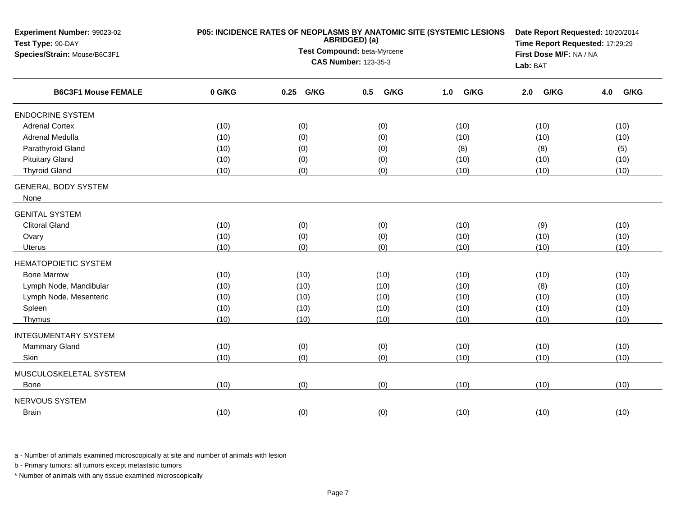| Experiment Number: 99023-02<br>Test Type: 90-DAY<br>Species/Strain: Mouse/B6C3F1 | P05: INCIDENCE RATES OF NEOPLASMS BY ANATOMIC SITE (SYSTEMIC LESIONS | Date Report Requested: 10/20/2014<br>Time Report Requested: 17:29:29<br>First Dose M/F: NA / NA<br>Lab: BAT |             |             |             |             |
|----------------------------------------------------------------------------------|----------------------------------------------------------------------|-------------------------------------------------------------------------------------------------------------|-------------|-------------|-------------|-------------|
| <b>B6C3F1 Mouse FEMALE</b>                                                       | 0 G/KG                                                               | G/KG<br>0.25                                                                                                | G/KG<br>0.5 | G/KG<br>1.0 | G/KG<br>2.0 | G/KG<br>4.0 |
| <b>ENDOCRINE SYSTEM</b>                                                          |                                                                      |                                                                                                             |             |             |             |             |
| <b>Adrenal Cortex</b>                                                            | (10)                                                                 | (0)                                                                                                         | (0)         | (10)        | (10)        | (10)        |
| Adrenal Medulla                                                                  | (10)                                                                 | (0)                                                                                                         | (0)         | (10)        | (10)        | (10)        |
| Parathyroid Gland                                                                | (10)                                                                 | (0)                                                                                                         | (0)         | (8)         | (8)         | (5)         |
| <b>Pituitary Gland</b>                                                           | (10)                                                                 | (0)                                                                                                         | (0)         | (10)        | (10)        | (10)        |
| <b>Thyroid Gland</b>                                                             | (10)                                                                 | (0)                                                                                                         | (0)         | (10)        | (10)        | (10)        |
| <b>GENERAL BODY SYSTEM</b><br>None                                               |                                                                      |                                                                                                             |             |             |             |             |
| <b>GENITAL SYSTEM</b>                                                            |                                                                      |                                                                                                             |             |             |             |             |
| <b>Clitoral Gland</b>                                                            | (10)                                                                 | (0)                                                                                                         | (0)         | (10)        | (9)         | (10)        |
| Ovary                                                                            | (10)                                                                 | (0)                                                                                                         | (0)         | (10)        | (10)        | (10)        |
| Uterus                                                                           | (10)                                                                 | (0)                                                                                                         | (0)         | (10)        | (10)        | (10)        |
| <b>HEMATOPOIETIC SYSTEM</b>                                                      |                                                                      |                                                                                                             |             |             |             |             |
| <b>Bone Marrow</b>                                                               | (10)                                                                 | (10)                                                                                                        | (10)        | (10)        | (10)        | (10)        |
| Lymph Node, Mandibular                                                           | (10)                                                                 | (10)                                                                                                        | (10)        | (10)        | (8)         | (10)        |
| Lymph Node, Mesenteric                                                           | (10)                                                                 | (10)                                                                                                        | (10)        | (10)        | (10)        | (10)        |
| Spleen                                                                           | (10)                                                                 | (10)                                                                                                        | (10)        | (10)        | (10)        | (10)        |
| Thymus                                                                           | (10)                                                                 | (10)                                                                                                        | (10)        | (10)        | (10)        | (10)        |
| <b>INTEGUMENTARY SYSTEM</b>                                                      |                                                                      |                                                                                                             |             |             |             |             |
| Mammary Gland                                                                    | (10)                                                                 | (0)                                                                                                         | (0)         | (10)        | (10)        | (10)        |
| Skin                                                                             | (10)                                                                 | (0)                                                                                                         | (0)         | (10)        | (10)        | (10)        |
| MUSCULOSKELETAL SYSTEM                                                           |                                                                      |                                                                                                             |             |             |             |             |
| <b>Bone</b>                                                                      | (10)                                                                 | (0)                                                                                                         | (0)         | (10)        | (10)        | (10)        |
| NERVOUS SYSTEM                                                                   |                                                                      |                                                                                                             |             |             |             |             |
| <b>Brain</b>                                                                     | (10)                                                                 | (0)                                                                                                         | (0)         | (10)        | (10)        | (10)        |

b - Primary tumors: all tumors except metastatic tumors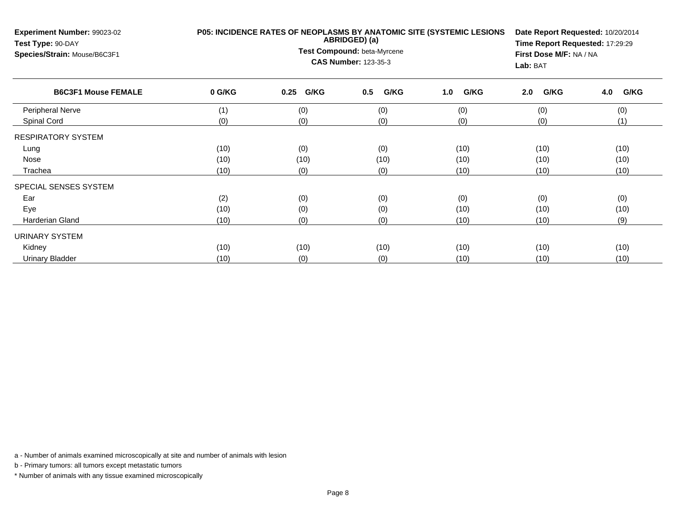| Experiment Number: 99023-02<br>Test Type: 90-DAY<br>Species/Strain: Mouse/B6C3F1 | P05: INCIDENCE RATES OF NEOPLASMS BY ANATOMIC SITE (SYSTEMIC LESIONS | Date Report Requested: 10/20/2014<br>Time Report Requested: 17:29:29<br>First Dose M/F: NA / NA<br>Lab: BAT |             |             |             |             |
|----------------------------------------------------------------------------------|----------------------------------------------------------------------|-------------------------------------------------------------------------------------------------------------|-------------|-------------|-------------|-------------|
| <b>B6C3F1 Mouse FEMALE</b>                                                       | 0 G/KG                                                               | G/KG<br>0.25                                                                                                | G/KG<br>0.5 | G/KG<br>1.0 | G/KG<br>2.0 | G/KG<br>4.0 |
| <b>Peripheral Nerve</b>                                                          | (1)                                                                  | (0)                                                                                                         | (0)         | (0)         | (0)         | (0)         |
| Spinal Cord                                                                      | (0)                                                                  | (0)                                                                                                         | (0)         | (0)         | (0)         | (1)         |
| <b>RESPIRATORY SYSTEM</b>                                                        |                                                                      |                                                                                                             |             |             |             |             |
| Lung                                                                             | (10)                                                                 | (0)                                                                                                         | (0)         | (10)        | (10)        | (10)        |
| Nose                                                                             | (10)                                                                 | (10)                                                                                                        | (10)        | (10)        | (10)        | (10)        |
| Trachea                                                                          | (10)                                                                 | (0)                                                                                                         | (0)         | (10)        | (10)        | (10)        |
| SPECIAL SENSES SYSTEM                                                            |                                                                      |                                                                                                             |             |             |             |             |
| Ear                                                                              | (2)                                                                  | (0)                                                                                                         | (0)         | (0)         | (0)         | (0)         |
| Eye                                                                              | (10)                                                                 | (0)                                                                                                         | (0)         | (10)        | (10)        | (10)        |
| Harderian Gland                                                                  | (10)                                                                 | (0)                                                                                                         | (0)         | (10)        | (10)        | (9)         |
| URINARY SYSTEM                                                                   |                                                                      |                                                                                                             |             |             |             |             |
| Kidney                                                                           | (10)                                                                 | (10)                                                                                                        | (10)        | (10)        | (10)        | (10)        |
| Urinary Bladder                                                                  | (10)                                                                 | (0)                                                                                                         | (0)         | (10)        | (10)        | (10)        |

b - Primary tumors: all tumors except metastatic tumors